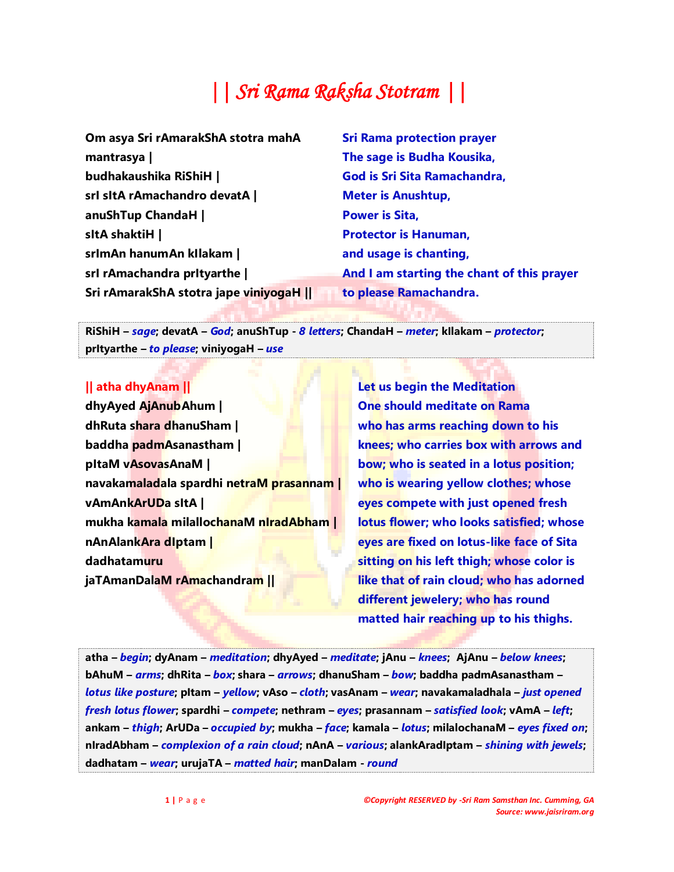# *|| Sri Rama Raksha Stotram ||*

| Om asya Sri rAmarakShA stotra mahA   | <b>Sri Rama protection prayer</b>          |
|--------------------------------------|--------------------------------------------|
| mantrasya                            | The sage is Budha Kousika,                 |
| budhakaushika RiShiH                 | God is Sri Sita Ramachandra,               |
| srl sltA rAmachandro devatA          | <b>Meter is Anushtup,</b>                  |
| anuShTup ChandaH                     | <b>Power is Sita,</b>                      |
| sltA shaktiH                         | <b>Protector is Hanuman,</b>               |
| srlmAn hanumAn kIlakam               | and usage is chanting,                     |
| srl rAmachandra prityarthe           | And I am starting the chant of this prayer |
| Sri rAmarakShA stotra jape viniyogaH | to please Ramachandra.                     |

**RiShiH –** *sage***; devatA –** *God***; anuShTup -** *8 letters***; ChandaH –** *meter***; kIlakam –** *protector***; prItyarthe –** *to please***; viniyogaH –** *use*

## **|| atha dhyAnam ||**

**dhyAyed AjAnubAhum | dhRuta shara dhanuSham | baddha padmAsanastham | pItaM vAsovasAnaM | navakamaladala spardhi netraM prasannam | vAmAnkArUDa sItA | mukha kamala milallochanaM nIradAbham | nAnAlankAra dIptam | dadhatamuru jaTAmanDalaM rAmachandram ||**

**Let us begin the Meditation One should meditate on Rama who has arms reaching down to his knees; who carries box with arrows and bow; who is seated in a lotus position; who is wearing yellow clothes; whose eyes compete with just opened fresh lotus flower; who looks satisfied; whose eyes are fixed on lotus-like face of Sita sitting on his left thigh; whose color is like that of rain cloud; who has adorned different jewelery; who has round matted hair reaching up to his thighs.**

atha – begin; dyAnam – meditation; dhyAyed – meditate; jAnu – knees; AjAnu – below knees; **bAhuM –** *arms***; dhRita –** *box***; shara –** *arrows***; dhanuSham –** *bow***; baddha padmAsanastham –** *lotus like posture***; pItam –** *yellow***; vAso –** *cloth***; vasAnam –** *wear***; navakamaladhala –** *just opened*  fresh lotus flower; spardhi – compete; nethram – eyes; prasannam – satisfied look; vAmA – left; ankam – thigh; ArUDa – occupied by; mukha – face; kamala – lotus; milalochanaM – eyes fixed on; **nIradAbham –** *complexion of a rain cloud***; nAnA –** *various***; alankAradIptam –** *shining with jewels***; dadhatam –** *wear***; urujaTA –** *matted hair***; manDalam -** *round*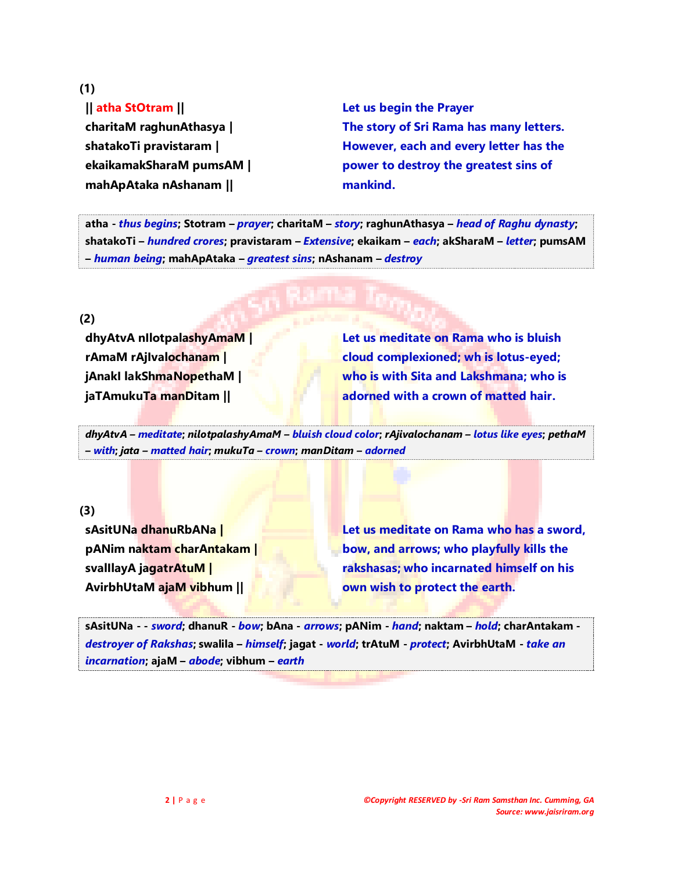**(1)**

# **|| atha StOtram ||**

**charitaM raghunAthasya | shatakoTi pravistaram | ekaikamakSharaM pumsAM | mahApAtaka nAshanam ||**

**Let us begin the Prayer The story of Sri Rama has many letters. However, each and every letter has the power to destroy the greatest sins of mankind.**

**atha -** *thus begins***; Stotram –** *prayer***; charitaM –** *story***; raghunAthasya –** *head of Raghu dynasty***; shatakoTi –** *hundred crores***; pravistaram –** *Extensive***; ekaikam –** *each***; akSharaM –** *letter***; pumsAM –** *human being***; mahApAtaka –** *greatest sins***; nAshanam –** *destroy*

**(2)**

**dhyAtvA nIlotpalashyAmaM | rAmaM rAjIvalochanam | jAnakI lakShmaNopethaM | jaTAmukuTa manDitam ||**

**Let us meditate on Rama who is bluish cloud complexioned; wh is lotus-eyed; who is with Sita and Lakshmana; who is adorned with a crown of matted hair.**

*dhyAtvA – meditate***;** *nilotpalashyAmaM – bluish cloud color***;** *rAjivalochanam – lotus like eyes***;** *pethaM – with***;** *jata – matted hair***;** *mukuTa – crown***;** *manDitam – adorned*

**(3)**

**sAsitUNa dhanuRbANa | pANim naktam charAntakam | svalIlayA jagatrAtuM | AvirbhUtaM ajaM vibhum ||**

**Let us meditate on Rama who has a sword, bow, and arrows; who playfully kills the rakshasas; who incarnated himself on his own wish to protect the earth.**

**sAsitUNa - -** *sword***; dhanuR -** *bow***; bAna -** *arrows***; pANim -** *hand***; naktam –** *hold***; charAntakam**  *destroyer of Rakshas***; swalila –** *himself***; jagat -** *world***; trAtuM -** *protect***; AvirbhUtaM -** *take an incarnation***; ajaM –** *abode***; vibhum –** *earth*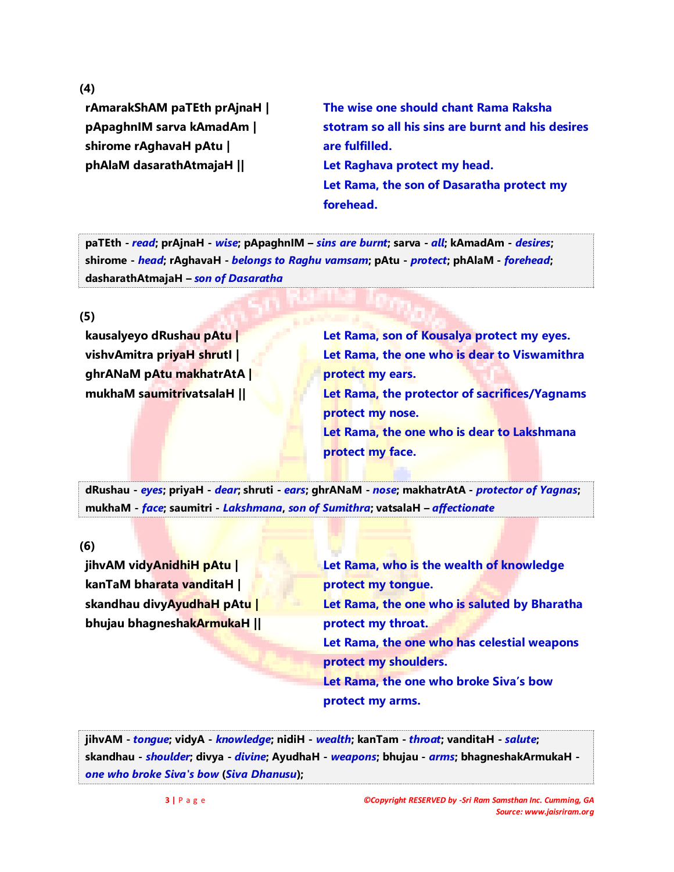**(4)**

**rAmarakShAM paTEth prAjnaH | pApaghnIM sarva kAmadAm | shirome rAghavaH pAtu | phAlaM dasarathAtmajaH ||**

**The wise one should chant Rama Raksha stotram so all his sins are burnt and his desires are fulfilled. Let Raghava protect my head. Let Rama, the son of Dasaratha protect my forehead.**

**paTEth -** *read***; prAjnaH -** *wise***; pApaghnIM –** *sins are burnt***; sarva -** *all***; kAmadAm -** *desires***; shirome -** *head***; rAghavaH -** *belongs to Raghu vamsam***; pAtu -** *protect***; phAlaM -** *forehead***; dasharathAtmajaH –** *son of Dasaratha*

**(5)**

**kausalyeyo dRushau pAtu | vishvAmitra priyaH shrutI | ghrANaM pAtu makhatrAtA | mukhaM saumitrivatsalaH ||**

**Let Rama, son of Kousalya protect my eyes. Let Rama, the one who is dear to Viswamithra protect my ears. Let Rama, the protector of sacrifices/Yagnams protect my nose. Let Rama, the one who is dear to Lakshmana protect my face.**

**dRushau -** *eyes***; priyaH -** *dear***; shruti -** *ears***; ghrANaM -** *nose***; makhatrAtA -** *protector of Yagnas***; mukhaM -** *face***; saumitri -** *Lakshmana***,** *son of Sumithra***; vatsalaH –** *affectionate*

**(6)**

**jihvAM vidyAnidhiH pAtu | kanTaM bharata vanditaH | skandhau divyAyudhaH pAtu | bhujau bhagneshakArmukaH ||** **Let Rama, who is the wealth of knowledge protect my tongue. Let Rama, the one who is saluted by Bharatha protect my throat. Let Rama, the one who has celestial weapons protect my shoulders. Let Rama, the one who broke Siva's bow protect my arms.**

**jihvAM -** *tongue***; vidyA -** *knowledge***; nidiH -** *wealth***; kanTam -** *throat***; vanditaH -** *salute***; skandhau -** *shoulder***; divya -** *divine***; AyudhaH -** *weapons***; bhujau -** *arms***; bhagneshakArmukaH**  *one who broke Siva's bow* **(***Siva Dhanusu***);**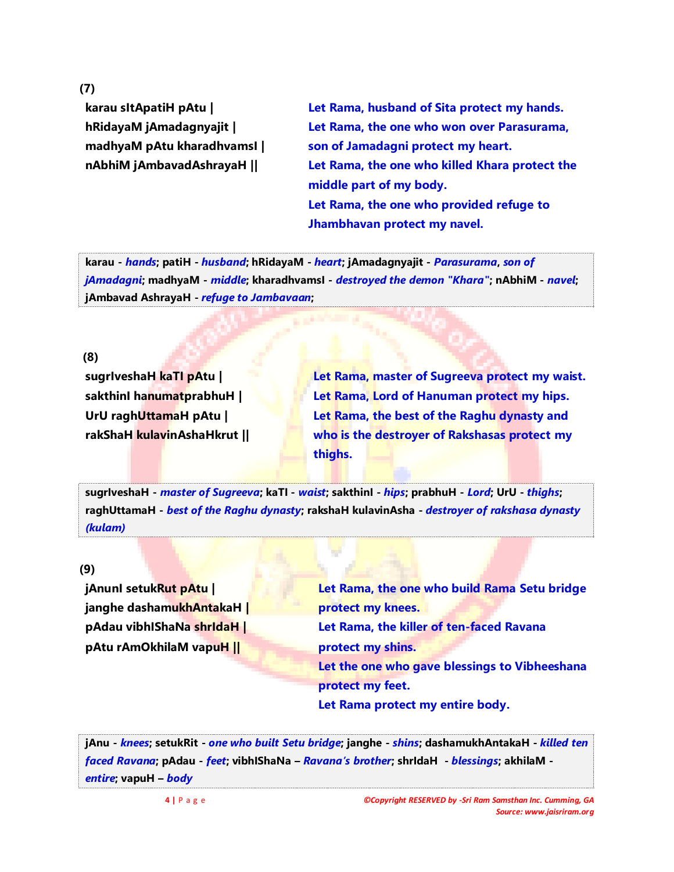**(7)**

**karau sItApatiH pAtu | hRidayaM jAmadagnyajit | madhyaM pAtu kharadhvamsI | nAbhiM jAmbavadAshrayaH ||**

**Let Rama, husband of Sita protect my hands. Let Rama, the one who won over Parasurama, son of Jamadagni protect my heart. Let Rama, the one who killed Khara protect the middle part of my body. Let Rama, the one who provided refuge to Jhambhavan protect my navel.**

**karau -** *hands***; patiH -** *husband***; hRidayaM -** *heart***; jAmadagnyajit -** *Parasurama***,** *son of jAmadagni***; madhyaM -** *middle***; kharadhvamsI -** *destroyed the demon "Khara"***; nAbhiM -** *navel***; jAmbavad AshrayaH -** *refuge to Jambavaan***;**

#### **(8)**

**sugrIveshaH kaTI pAtu | sakthinI hanumatprabhuH | UrU raghUttamaH pAtu | rakShaH kulavinAshaHkrut ||** **Let Rama, master of Sugreeva protect my waist. Let Rama, Lord of Hanuman protect my hips. Let Rama, the best of the Raghu dynasty and who is the destroyer of Rakshasas protect my thighs.**

**sugrIveshaH -** *master of Sugreeva***; kaTI -** *waist***; sakthinI -** *hips***; prabhuH -** *Lord***; UrU -** *thighs***; raghUttamaH -** *best of the Raghu dynasty***; rakshaH kulavinAsha -** *destroyer of rakshasa dynasty (kulam)*

#### **(9)**

**jAnunI setukRut pAtu | janghe dashamukhAntakaH | pAdau vibhIShaNa shrIdaH | pAtu rAmOkhilaM vapuH ||**

**Let Rama, the one who build Rama Setu bridge protect my knees. Let Rama, the killer of ten-faced Ravana protect my shins. Let the one who gave blessings to Vibheeshana protect my feet. Let Rama protect my entire body.**

**jAnu -** *knees***; setukRit -** *one who built Setu bridge***; janghe -** *shins***; dashamukhAntakaH -** *killed ten faced Ravana***; pAdau -** *feet***; vibhIShaNa –** *Ravana's brother***; shrIdaH -** *blessings***; akhilaM**  *entire***; vapuH –** *body*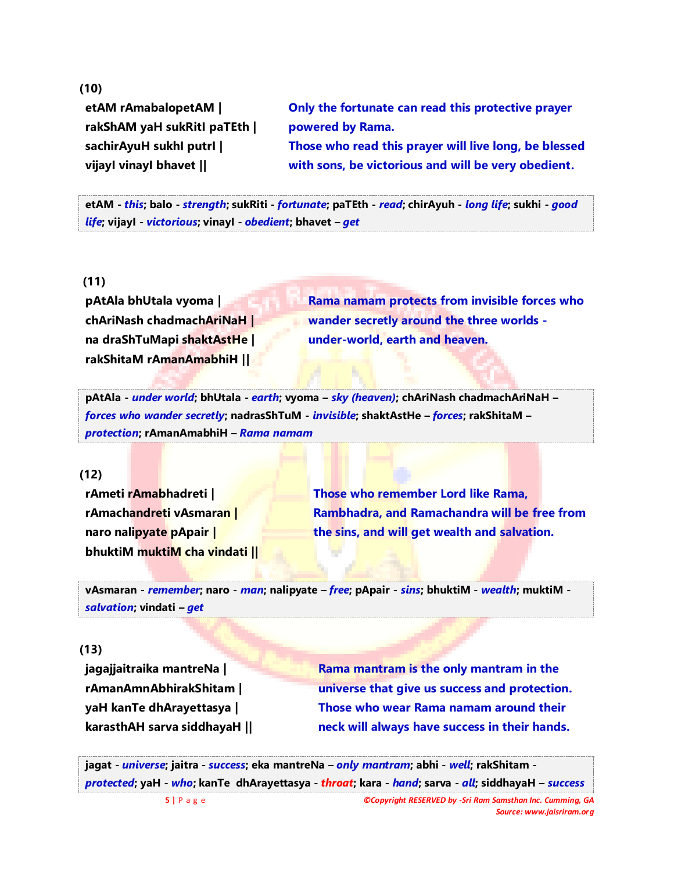#### **(10)**

**etAM rAmabalopetAM | rakShAM yaH sukRitI paTEth | sachirAyuH sukhI putrI | vijayI vinayI bhavet ||**

**Only the fortunate can read this protective prayer powered by Rama. Those who read this prayer will live long, be blessed with sons, be victorious and will be very obedient.**

**etAM -** *this***; balo -** *strength***; sukRiti -** *fortunate***; paTEth -** *read***; chirAyuh -** *long life***; sukhi -** *good life***; vijayI -** *victorious***; vinayI -** *obedient***; bhavet –** *get*

# **(11)**

**pAtAla bhUtala vyoma | chAriNash chadmachAriNaH | na draShTuMapi shaktAstHe | rakShitaM rAmanAmabhiH ||**

**Rama namam protects from invisible forces who wander secretly around the three worlds under-world, earth and heaven.**

**pAtAla -** *under world***; bhUtala -** *earth***; vyoma –** *sky (heaven)***; chAriNash chadmachAriNaH –** *forces who wander secretly***; nadrasShTuM -** *invisible***; shaktAstHe –** *forces***; rakShitaM –** *protection***; rAmanAmabhiH –** *Rama namam*

#### **(12)**

**rAmeti rAmabhadreti | rAmachandreti vAsmaran | naro nalipyate pApair | bhuktiM muktiM cha vindati ||**

**Those who remember Lord like Rama, Rambhadra, and Ramachandra will be free from the sins, and will get wealth and salvation.**

**vAsmaran -** *remember***; naro -** *man***; nalipyate –** *free***; pApair -** *sins***; bhuktiM -** *wealth***; muktiM**  *salvation***; vindati –** *get*

## **(13)**

**jagajjaitraika mantreNa | rAmanAmnAbhirakShitam | yaH kanTe dhArayettasya | karasthAH sarva siddhayaH ||** **Rama mantram is the only mantram in the universe that give us success and protection. Those who wear Rama namam around their neck will always have success in their hands.**

**jagat -** *universe***; jaitra -** *success***; eka mantreNa –** *only mantram***; abhi -** *well***; rakShitam**  *protected***; yaH -** *who***; kanTe dhArayettasya -** *throat***; kara -** *hand***; sarva -** *all***; siddhayaH –** *success*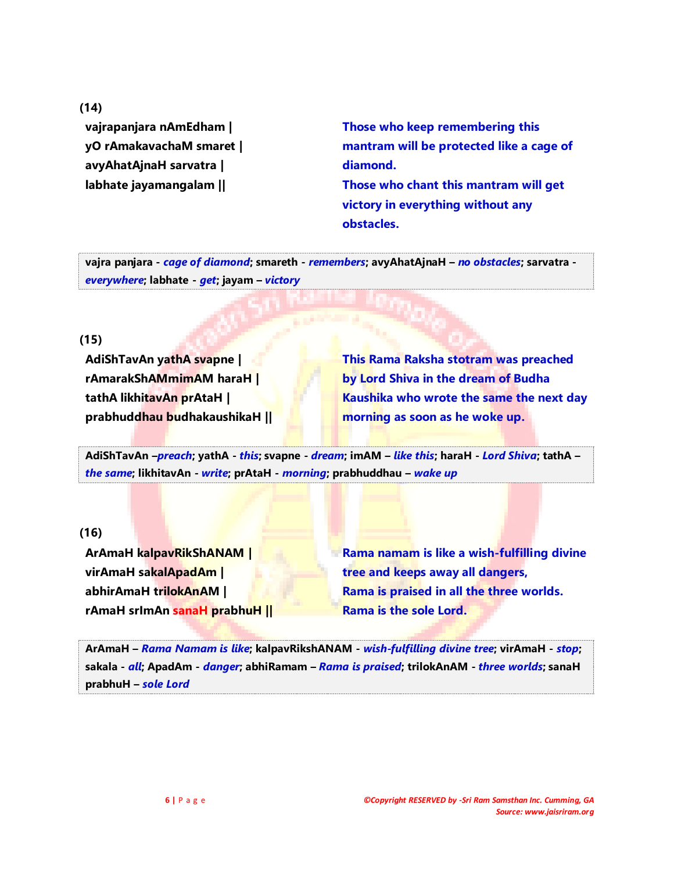**(14)**

**vajrapanjara nAmEdham | yO rAmakavachaM smaret | avyAhatAjnaH sarvatra | labhate jayamangalam ||**

**Those who keep remembering this mantram will be protected like a cage of diamond. Those who chant this mantram will get victory in everything without any obstacles.**

**vajra panjara -** *cage of diamond***; smareth -** *remembers***; avyAhatAjnaH –** *no obstacles***; sarvatra**  *everywhere***; labhate -** *get***; jayam –** *victory*

## **(15)**

**AdiShTavAn yathA svapne | rAmarakShAMmimAM haraH | tathA likhitavAn prAtaH | prabhuddhau budhakaushikaH ||** **This Rama Raksha stotram was preached by Lord Shiva in the dream of Budha Kaushika who wrote the same the next day morning as soon as he woke up.**

**AdiShTavAn –***preach***; yathA -** *this***; svapne -** *dream***; imAM –** *like this***; haraH -** *Lord Shiva***; tathA –** *the same***; likhitavAn -** *write***; prAtaH -** *morning***; prabhuddhau –** *wake up*

# **(16)**

**ArAmaH kalpavRikShANAM | virAmaH sakalApadAm | abhirAmaH trilokAnAM | rAmaH srImAn sanaH prabhuH ||** **Rama namam is like a wish-fulfilling divine tree and keeps away all dangers, Rama is praised in all the three worlds. Rama is the sole Lord.**

**ArAmaH –** *Rama Namam is like***; kalpavRikshANAM -** *wish-fulfilling divine tree***; virAmaH -** *stop***; sakala -** *all***; ApadAm -** *danger***; abhiRamam –** *Rama is praised***; trilokAnAM -** *three worlds***; sanaH prabhuH –** *sole Lord*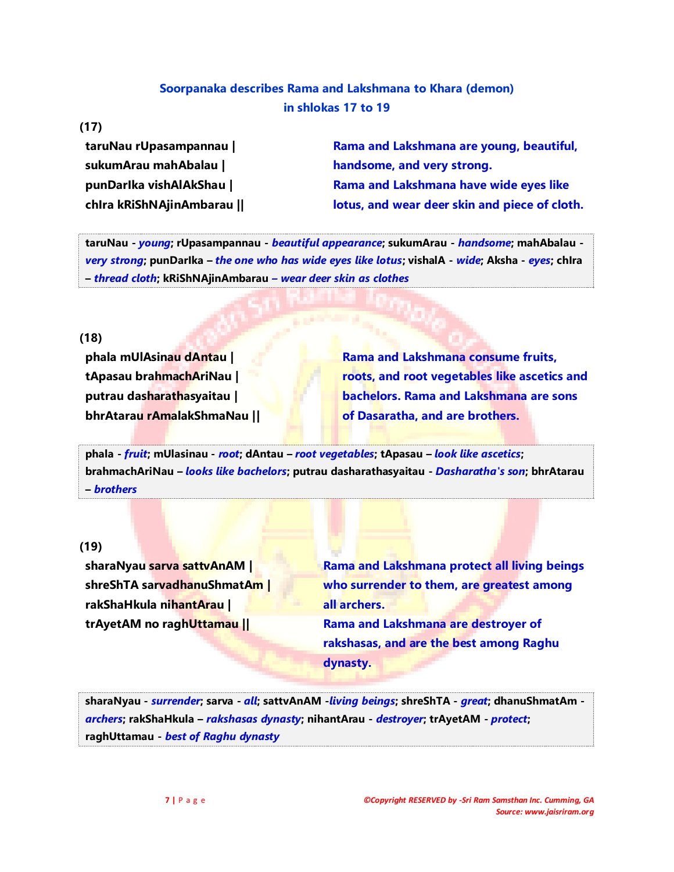# **Soorpanaka describes Rama and Lakshmana to Khara (demon) in shlokas 17 to 19**

#### **(17)**

**taruNau rUpasampannau | sukumArau mahAbalau | punDarIka vishAlAkShau | chIra kRiShNAjinAmbarau ||**

**Rama and Lakshmana are young, beautiful, handsome, and very strong. Rama and Lakshmana have wide eyes like lotus, and wear deer skin and piece of cloth.**

**taruNau -** *young***; rUpasampannau -** *beautiful appearance***; sukumArau -** *handsome***; mahAbalau**  *very strong***; punDarIka –** *the one who has wide eyes like lotus***; vishalA -** *wide***; Aksha -** *eyes***; chIra –** *thread cloth***; kRiShNAjinAmbarau** *– wear deer skin as clothes*

#### **(18)**

**phala mUlAsinau dAntau | tApasau brahmachAriNau | putrau dasharathasyaitau | bhrAtarau rAmalakShmaNau ||**

**Rama and Lakshmana consume fruits, roots, and root vegetables like ascetics and bachelors. Rama and Lakshmana are sons of Dasaratha, and are brothers.**

**phala -** *fruit***; mUlasinau -** *root***; dAntau –** *root vegetables***; tApasau –** *look like ascetics***; brahmachAriNau –** *looks like bachelors***; putrau dasharathasyaitau -** *Dasharatha's son***; bhrAtarau –** *brothers*

# **(19)**

**sharaNyau sarva sattvAnAM | shreShTA sarvadhanuShmatAm | rakShaHkula nihantArau | trAyetAM no raghUttamau ||**

**Rama and Lakshmana protect all living beings who surrender to them, are greatest among all archers. Rama and Lakshmana are destroyer of rakshasas, and are the best among Raghu dynasty.**

**sharaNyau -** *surrender***; sarva -** *all***; sattvAnAM -***living beings***; shreShTA -** *great***; dhanuShmatAm**  *archers***; rakShaHkula –** *rakshasas dynasty***; nihantArau -** *destroyer***; trAyetAM -** *protect***; raghUttamau -** *best of Raghu dynasty*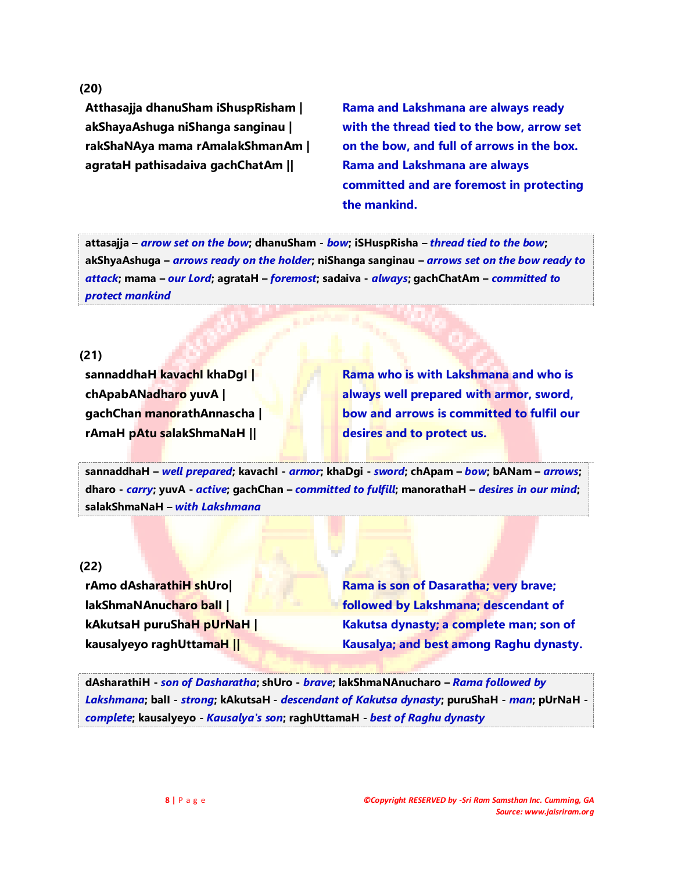**(20)**

**Atthasajja dhanuSham iShuspRisham | akShayaAshuga niShanga sanginau | rakShaNAya mama rAmalakShmanAm | agrataH pathisadaiva gachChatAm ||**

**Rama and Lakshmana are always ready with the thread tied to the bow, arrow set on the bow, and full of arrows in the box. Rama and Lakshmana are always committed and are foremost in protecting the mankind.** 

**attasajja –** *arrow set on the bow***; dhanuSham -** *bow***; iSHuspRisha –** *thread tied to the bow***; akShyaAshuga –** *arrows ready on the holder***; niShanga sanginau –** *arrows set on the bow ready to attack***; mama –** *our Lord***; agrataH –** *foremost***; sadaiva -** *always***; gachChatAm –** *committed to protect mankind*

#### **(21)**

**sannaddhaH kavachI khaDgI | chApabANadharo yuvA | gachChan manorathAnnascha | rAmaH pAtu salakShmaNaH ||**

**Rama who is with Lakshmana and who is always well prepared with armor, sword, bow and arrows is committed to fulfil our desires and to protect us.**

**sannaddhaH –** *well prepared***; kavachI -** *armor***; khaDgi -** *sword***; chApam –** *bow***; bANam –** *arrows***; dharo -** *carry***; yuvA -** *active***; gachChan –** *committed to fulfill***; manorathaH –** *desires in our mind***; salakShmaNaH –** *with Lakshmana*

## **(22)**

**rAmo dAsharathiH shUro| lakShmaNAnucharo balI | kAkutsaH puruShaH pUrNaH | kausalyeyo raghUttamaH ||**

**Rama is son of Dasaratha; very brave; followed by Lakshmana; descendant of Kakutsa dynasty; a complete man; son of Kausalya; and best among Raghu dynasty.**

**dAsharathiH -** *son of Dasharatha***; shUro -** *brave***; lakShmaNAnucharo –** *Rama followed by Lakshmana***; balI -** *strong***; kAkutsaH -** *descendant of Kakutsa dynasty***; puruShaH -** *man***; pUrNaH**  *complete***; kausalyeyo -** *Kausalya's son***; raghUttamaH -** *best of Raghu dynasty*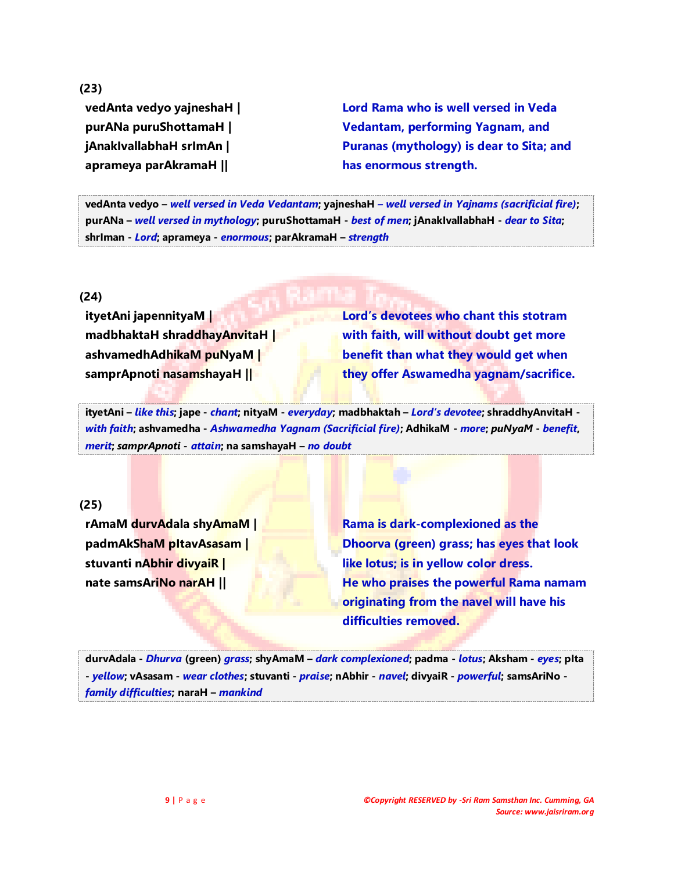**(23) vedAnta vedyo yajneshaH | purANa puruShottamaH | jAnakIvallabhaH srImAn | aprameya parAkramaH ||**

**Lord Rama who is well versed in Veda Vedantam, performing Yagnam, and Puranas (mythology) is dear to Sita; and has enormous strength.**

**vedAnta vedyo –** *well versed in Veda Vedantam***; yajneshaH** *– well versed in Yajnams (sacrificial fire)***; purANa –** *well versed in mythology***; puruShottamaH -** *best of men***; jAnakIvallabhaH -** *dear to Sita***; shrIman -** *Lord***; aprameya -** *enormous***; parAkramaH –** *strength*

**(24)**

**ityetAni japennityaM | madbhaktaH shraddhayAnvitaH | ashvamedhAdhikaM puNyaM | samprApnoti nasamshayaH ||**

**Lord's devotees who chant this stotram with faith, will without doubt get more benefit than what they would get when they offer Aswamedha yagnam/sacrifice.**

**ityetAni –** *like this***; jape -** *chant***; nityaM -** *everyday***; madbhaktah –** *Lord's devotee***; shraddhyAnvitaH**  *with faith***; ashvamedha -** *Ashwamedha Yagnam (Sacrificial fire)***; AdhikaM -** *more***;** *puNyaM* **-** *benefit***,**  *merit***;** *samprApnoti* **-** *attain***; na samshayaH –** *no doubt*

# **(25)**

**rAmaM durvAdala shyAmaM | padmAkShaM pItavAsasam | stuvanti nAbhir divyaiR | nate samsAriNo narAH ||**

**Rama is dark-complexioned as the Dhoorva (green) grass; has eyes that look like lotus; is in yellow color dress. He who praises the powerful Rama namam originating from the navel will have his difficulties removed.**

**durvAdala -** *Dhurva* **(green)** *grass***; shyAmaM –** *dark complexioned***; padma -** *lotus***; Aksham -** *eyes***; pIta -** *yellow***; vAsasam -** *wear clothes***; stuvanti -** *praise***; nAbhir -** *navel***; divyaiR -** *powerful***; samsAriNo**  *family difficulties***; naraH –** *mankind*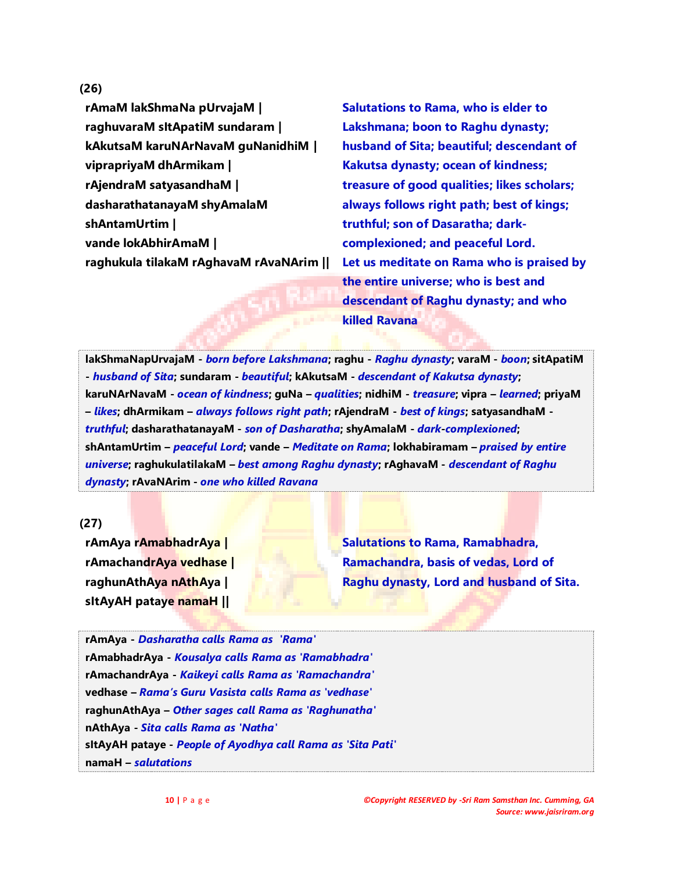#### **(26)**

**rAmaM lakShmaNa pUrvajaM | raghuvaraM sItApatiM sundaram | kAkutsaM karuNArNavaM guNanidhiM | viprapriyaM dhArmikam | rAjendraM satyasandhaM | dasharathatanayaM shyAmalaM shAntamUrtim | vande lokAbhirAmaM | raghukula tilakaM rAghavaM rAvaNArim ||**

**Salutations to Rama, who is elder to Lakshmana; boon to Raghu dynasty; husband of Sita; beautiful; descendant of Kakutsa dynasty; ocean of kindness; treasure of good qualities; likes scholars; always follows right path; best of kings; truthful; son of Dasaratha; darkcomplexioned; and peaceful Lord. Let us meditate on Rama who is praised by the entire universe; who is best and descendant of Raghu dynasty; and who killed Ravana**

**lakShmaNapUrvajaM -** *born before Lakshmana***; raghu -** *Raghu dynasty***; varaM -** *boon***; sitApatiM -** *husband of Sita***; sundaram -** *beautiful***; kAkutsaM -** *descendant of Kakutsa dynasty***; karuNArNavaM -** *ocean of kindness***; guNa –** *qualities***; nidhiM -** *treasure***; vipra –** *learned***; priyaM –** *likes***; dhArmikam –** *always follows right path***; rAjendraM -** *best of kings***; satyasandhaM**  *truthful***; dasharathatanayaM -** *son of Dasharatha***; shyAmalaM -** *dark***-***complexioned***; shAntamUrtim –** *peaceful Lord***; vande –** *Meditate on Rama***; lokhabiramam –** *praised by entire universe***; raghukulatilakaM –** *best among Raghu dynasty***; rAghavaM -** *descendant of Raghu dynasty***; rAvaNArim -** *one who killed Ravana*

#### **(27)**

**rAmAya rAmabhadrAya | rAmachandrAya vedhase | raghunAthAya nAthAya | sItAyAH pataye namaH ||**

**Salutations to Rama, Ramabhadra, Ramachandra, basis of vedas, Lord of Raghu dynasty, Lord and husband of Sita.**

**rAmAya -** *Dasharatha calls Rama as 'Rama'* **rAmabhadrAya -** *Kousalya calls Rama as 'Ramabhadra'* **rAmachandrAya -** *Kaikeyi calls Rama as 'Ramachandra'* **vedhase –** *Rama's Guru Vasista calls Rama as 'vedhase'* **raghunAthAya –** *Other sages call Rama as 'Raghunatha'* **nAthAya -** *Sita calls Rama as 'Natha'* **sItAyAH pataye -** *People of Ayodhya call Rama as 'Sita Pati'* **namaH –** *salutations*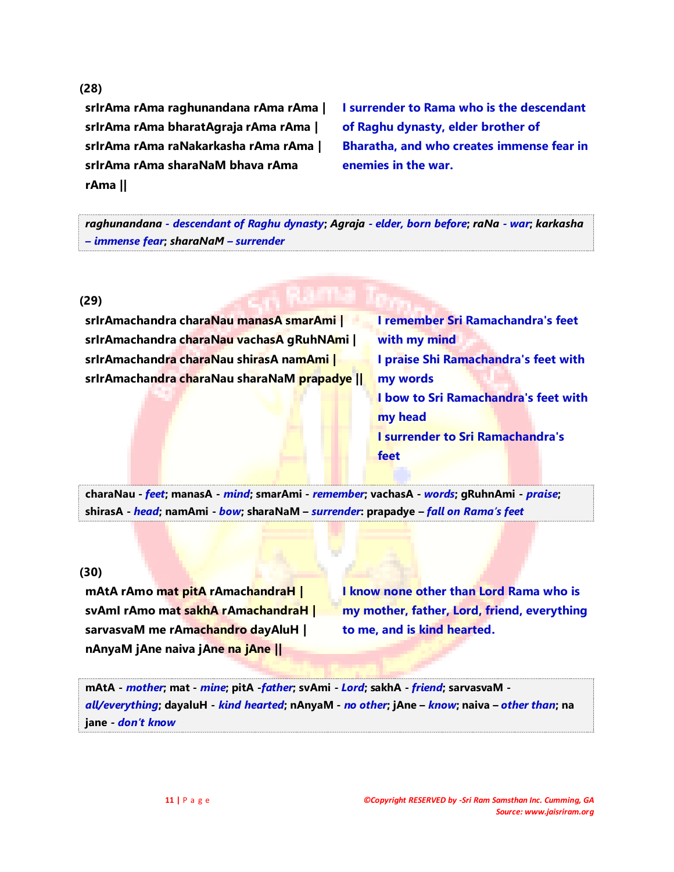#### **(28)**

**srIrAma rAma raghunandana rAma rAma | srIrAma rAma bharatAgraja rAma rAma | srIrAma rAma raNakarkasha rAma rAma | srIrAma rAma sharaNaM bhava rAma rAma ||**

**I surrender to Rama who is the descendant of Raghu dynasty, elder brother of Bharatha, and who creates immense fear in enemies in the war.**

*raghunandana - descendant of Raghu dynasty***;** *Agraja - elder, born before***;** *raNa - war***;** *karkasha – immense fear***;** *sharaNaM – surrender*

#### **(29)**

**srIrAmachandra charaNau manasA smarAmi | srIrAmachandra charaNau vachasA gRuhNAmi | srIrAmachandra charaNau shirasA namAmi | srIrAmachandra charaNau sharaNaM prapadye ||** **I remember Sri Ramachandra's feet with my mind I praise Shi Ramachandra's feet with my words I bow to Sri Ramachandra's feet with my head I surrender to Sri Ramachandra's feet**

**charaNau -** *feet***; manasA -** *mind***; smarAmi -** *remember***; vachasA -** *words***; gRuhnAmi -** *praise***; shirasA -** *head***; namAmi -** *bow***; sharaNaM –** *surrender***: prapadye –** *fall on Rama's feet*

#### **(30)**

**mAtA rAmo mat pitA rAmachandraH | svAmI rAmo mat sakhA rAmachandraH | sarvasvaM me rAmachandro dayAluH | nAnyaM jAne naiva jAne na jAne ||**

**I know none other than Lord Rama who is my mother, father, Lord, friend, everything to me, and is kind hearted.**

**mAtA -** *mother***; mat -** *mine***; pitA -***father***; svAmi -** *Lord***; sakhA -** *friend***; sarvasvaM**  *all/everything***; dayaluH -** *kind hearted***; nAnyaM -** *no other***; jAne –** *know***; naiva –** *other than***; na jane -** *don't know*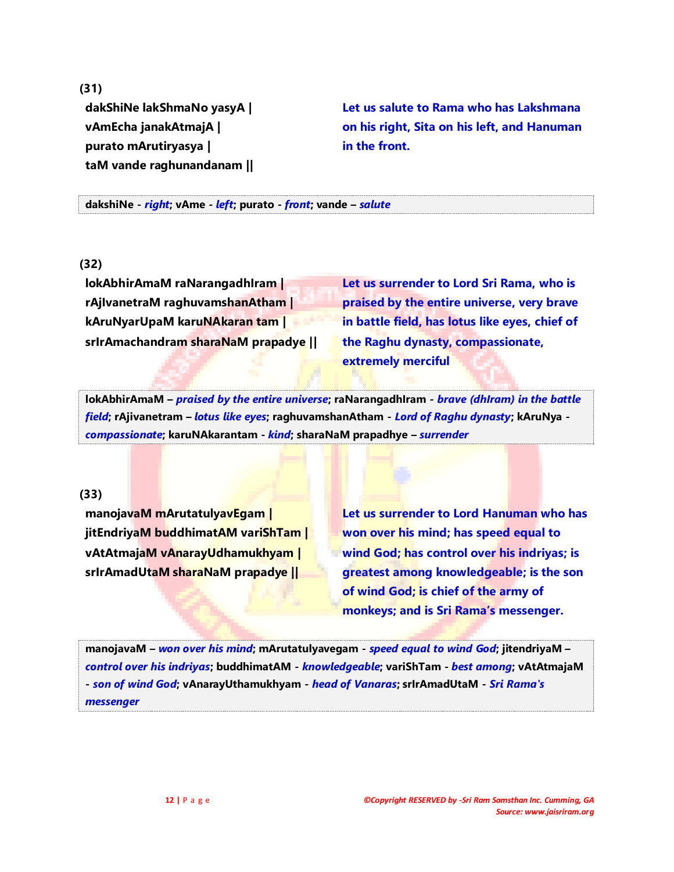**(31)**

**dakShiNe lakShmaNo yasyA | vAmEcha janakAtmajA | purato mArutiryasya | taM vande raghunandanam ||**

**Let us salute to Rama who has Lakshmana on his right, Sita on his left, and Hanuman in the front.**

**dakshiNe -** *right***; vAme -** *left***; purato -** *front***; vande –** *salute*

## **(32)**

**lokAbhirAmaM raNarangadhIram | rAjIvanetraM raghuvamshanAtham | kAruNyarUpaM karuNAkaran tam | srIrAmachandram sharaNaM prapadye ||**

**Let us surrender to Lord Sri Rama, who is praised by the entire universe, very brave in battle field, has lotus like eyes, chief of the Raghu dynasty, compassionate, extremely merciful**

**lokAbhirAmaM –** *praised by the entire universe***; raNarangadhIram** *- brave (dhIram) in the battle field***; rAjivanetram –** *lotus like eyes***; raghuvamshanAtham -** *Lord of Raghu dynasty***; kAruNya**  *compassionate***; karuNAkarantam -** *kind***; sharaNaM prapadhye –** *surrender*

#### **(33)**

**manojavaM mArutatulyavEgam | jitEndriyaM buddhimatAM variShTam | vAtAtmajaM vAnarayUdhamukhyam | srIrAmadUtaM sharaNaM prapadye ||**

**Let us surrender to Lord Hanuman who has won over his mind; has speed equal to wind God; has control over his indriyas; is greatest among knowledgeable; is the son of wind God; is chief of the army of monkeys; and is Sri Rama's messenger.**

**manojavaM –** *won over his mind***; mArutatulyavegam -** *speed equal to wind God***; jitendriyaM –** *control over his indriyas***; buddhimatAM -** *knowledgeable***; variShTam -** *best among***; vAtAtmajaM -** *son of wind God***; vAnarayUthamukhyam -** *head of Vanaras***; srIrAmadUtaM -** *Sri Rama's messenger*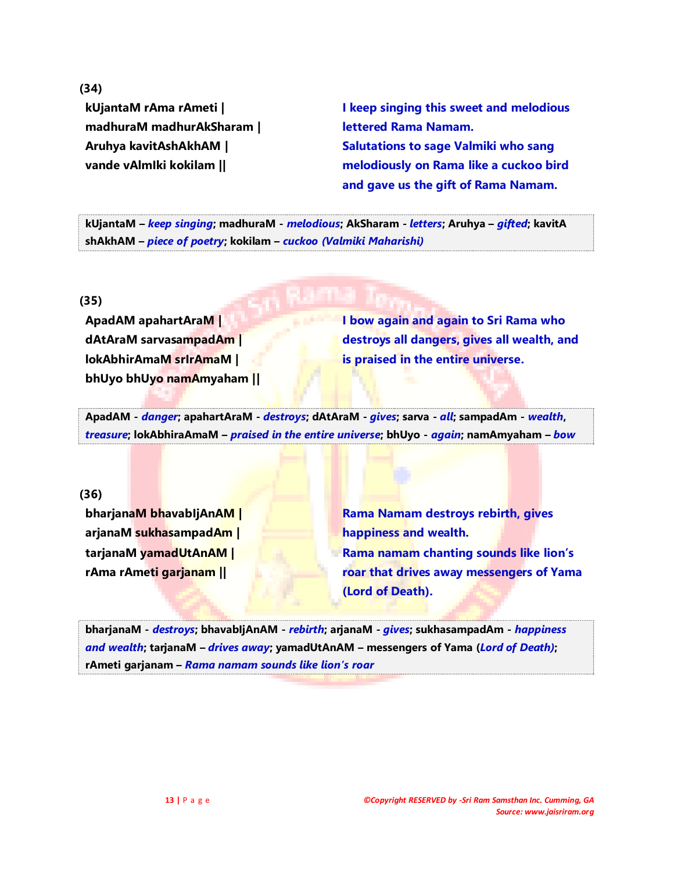**(34)**

**kUjantaM rAma rAmeti | madhuraM madhurAkSharam | Aruhya kavitAshAkhAM | vande vAlmIki kokilam ||**

**I keep singing this sweet and melodious lettered Rama Namam. Salutations to sage Valmiki who sang melodiously on Rama like a cuckoo bird and gave us the gift of Rama Namam.**

**kUjantaM –** *keep singing***; madhuraM -** *melodious***; AkSharam -** *letters***; Aruhya –** *gifted***; kavitA shAkhAM –** *piece of poetry***; kokilam –** *cuckoo (Valmiki Maharishi)*

**(35)**

**ApadAM apahartAraM | dAtAraM sarvasampadAm | lokAbhirAmaM srIrAmaM | bhUyo bhUyo namAmyaham ||** **I bow again and again to Sri Rama who destroys all dangers, gives all wealth, and is praised in the entire universe.**

**ApadAM -** *danger***; apahartAraM -** *destroys***; dAtAraM -** *gives***; sarva -** *all***; sampadAm -** *wealth***,**  *treasure***; lokAbhiraAmaM –** *praised in the entire universe***; bhUyo -** *again***; namAmyaham –** *bow*

## **(36)**

**bharjanaM bhavabIjAnAM | arjanaM sukhasampadAm | tarjanaM yamadUtAnAM | rAma rAmeti garjanam ||**

**Rama Namam destroys rebirth, gives happiness and wealth. Rama namam chanting sounds like lion's roar that drives away messengers of Yama (Lord of Death).**

**bharjanaM -** *destroys***; bhavabIjAnAM -** *rebirth***; arjanaM -** *gives***; sukhasampadAm -** *happiness and wealth***; tarjanaM –** *drives away***; yamadUtAnAM – messengers of Yama (***Lord of Death)***; rAmeti garjanam –** *Rama namam sounds like lion's roar*